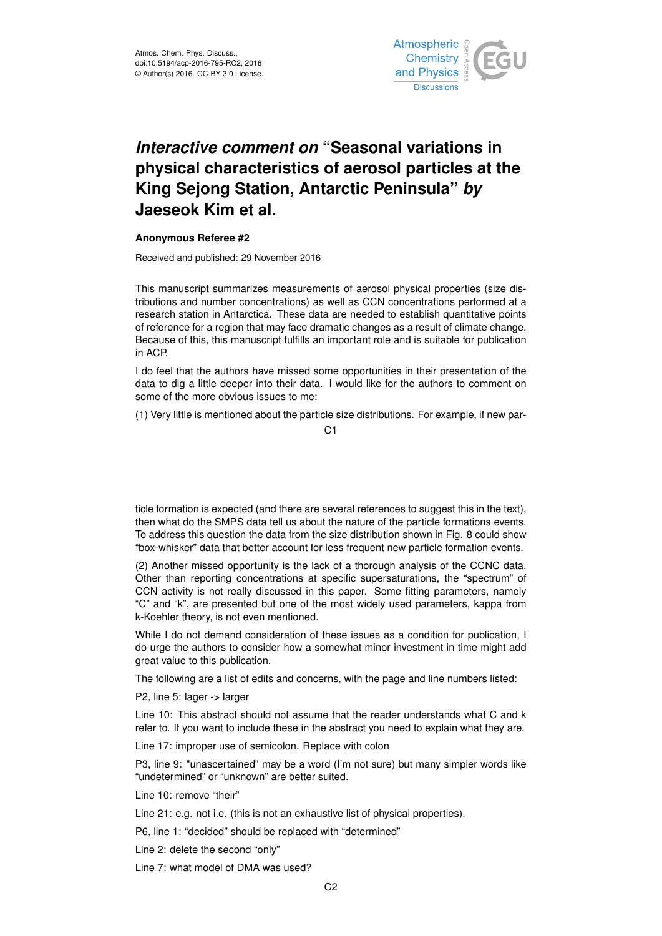

## *Interactive comment on* **"Seasonal variations in physical characteristics of aerosol particles at the King Sejong Station, Antarctic Peninsula"** *by* **Jaeseok Kim et al.**

## **Anonymous Referee #2**

Received and published: 29 November 2016

This manuscript summarizes measurements of aerosol physical properties (size distributions and number concentrations) as well as CCN concentrations performed at a research station in Antarctica. These data are needed to establish quantitative points of reference for a region that may face dramatic changes as a result of climate change. Because of this, this manuscript fulfills an important role and is suitable for publication in ACP.

I do feel that the authors have missed some opportunities in their presentation of the data to dig a little deeper into their data. I would like for the authors to comment on some of the more obvious issues to me:

(1) Very little is mentioned about the particle size distributions. For example, if new par-

C1

ticle formation is expected (and there are several references to suggest this in the text), then what do the SMPS data tell us about the nature of the particle formations events. To address this question the data from the size distribution shown in Fig. 8 could show "box-whisker" data that better account for less frequent new particle formation events.

(2) Another missed opportunity is the lack of a thorough analysis of the CCNC data. Other than reporting concentrations at specific supersaturations, the "spectrum" of CCN activity is not really discussed in this paper. Some fitting parameters, namely "C" and "k", are presented but one of the most widely used parameters, kappa from k-Koehler theory, is not even mentioned.

While I do not demand consideration of these issues as a condition for publication, I do urge the authors to consider how a somewhat minor investment in time might add great value to this publication.

The following are a list of edits and concerns, with the page and line numbers listed:

P2, line 5: lager -> larger

Line 10: This abstract should not assume that the reader understands what C and k refer to. If you want to include these in the abstract you need to explain what they are.

Line 17: improper use of semicolon. Replace with colon

P3, line 9: "unascertained" may be a word (I'm not sure) but many simpler words like "undetermined" or "unknown" are better suited.

Line 10: remove "their"

Line 21: e.g. not i.e. (this is not an exhaustive list of physical properties).

P6, line 1: "decided" should be replaced with "determined"

Line 2: delete the second "only"

Line 7: what model of DMA was used?